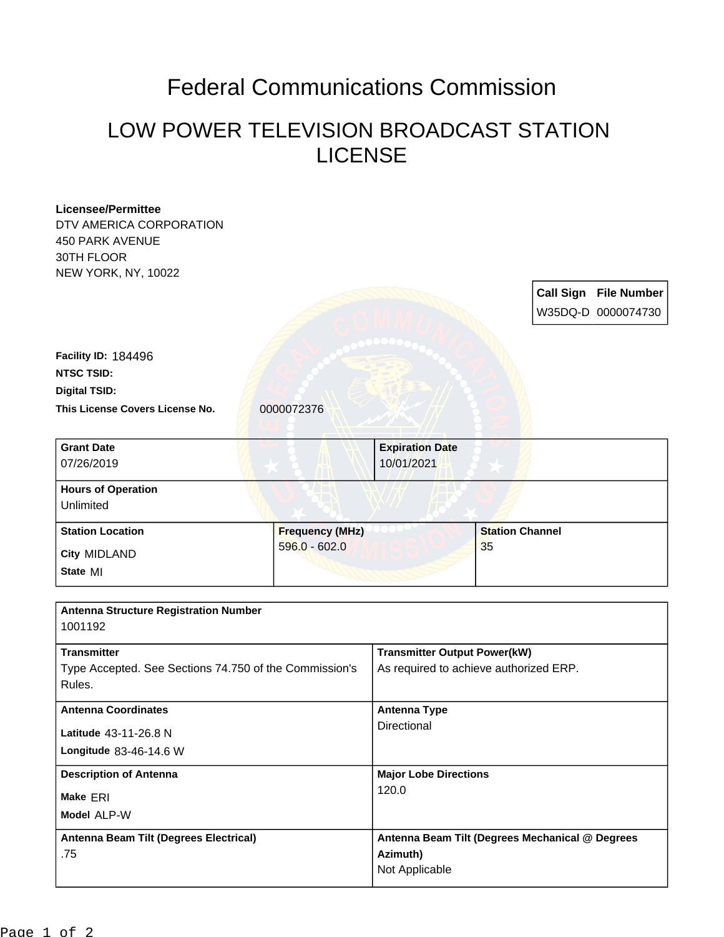## Federal Communications Commission

## LOW POWER TELEVISION BROADCAST STATION LICENSE

|                                                        |                                                 |                                      |  | <b>Call Sign File Number</b> |
|--------------------------------------------------------|-------------------------------------------------|--------------------------------------|--|------------------------------|
|                                                        |                                                 |                                      |  | W35DQ-D 0000074730           |
|                                                        |                                                 |                                      |  |                              |
|                                                        |                                                 |                                      |  |                              |
|                                                        |                                                 |                                      |  |                              |
|                                                        |                                                 |                                      |  |                              |
|                                                        |                                                 |                                      |  |                              |
|                                                        |                                                 |                                      |  |                              |
|                                                        |                                                 |                                      |  |                              |
|                                                        |                                                 |                                      |  |                              |
|                                                        |                                                 |                                      |  |                              |
|                                                        |                                                 |                                      |  |                              |
|                                                        |                                                 |                                      |  |                              |
|                                                        |                                                 |                                      |  |                              |
|                                                        |                                                 |                                      |  |                              |
|                                                        |                                                 |                                      |  |                              |
| $596.0 - 602.0$                                        |                                                 | 35                                   |  |                              |
|                                                        |                                                 |                                      |  |                              |
|                                                        |                                                 |                                      |  |                              |
|                                                        |                                                 |                                      |  |                              |
|                                                        |                                                 |                                      |  |                              |
|                                                        |                                                 |                                      |  |                              |
|                                                        | <b>Transmitter Output Power(kW)</b>             |                                      |  |                              |
| Type Accepted. See Sections 74.750 of the Commission's | As required to achieve authorized ERP.          |                                      |  |                              |
|                                                        |                                                 |                                      |  |                              |
|                                                        | <b>Antenna Type</b>                             |                                      |  |                              |
|                                                        | Directional                                     |                                      |  |                              |
|                                                        |                                                 |                                      |  |                              |
|                                                        |                                                 |                                      |  |                              |
|                                                        | <b>Major Lobe Directions</b>                    |                                      |  |                              |
|                                                        | 120.0                                           |                                      |  |                              |
|                                                        |                                                 |                                      |  |                              |
|                                                        |                                                 |                                      |  |                              |
|                                                        | Antenna Beam Tilt (Degrees Mechanical @ Degrees |                                      |  |                              |
|                                                        | Azimuth)<br>Not Applicable                      |                                      |  |                              |
|                                                        | 0000072376<br><b>Frequency (MHz)</b>            | <b>Expiration Date</b><br>10/01/2021 |  | <b>Station Channel</b>       |